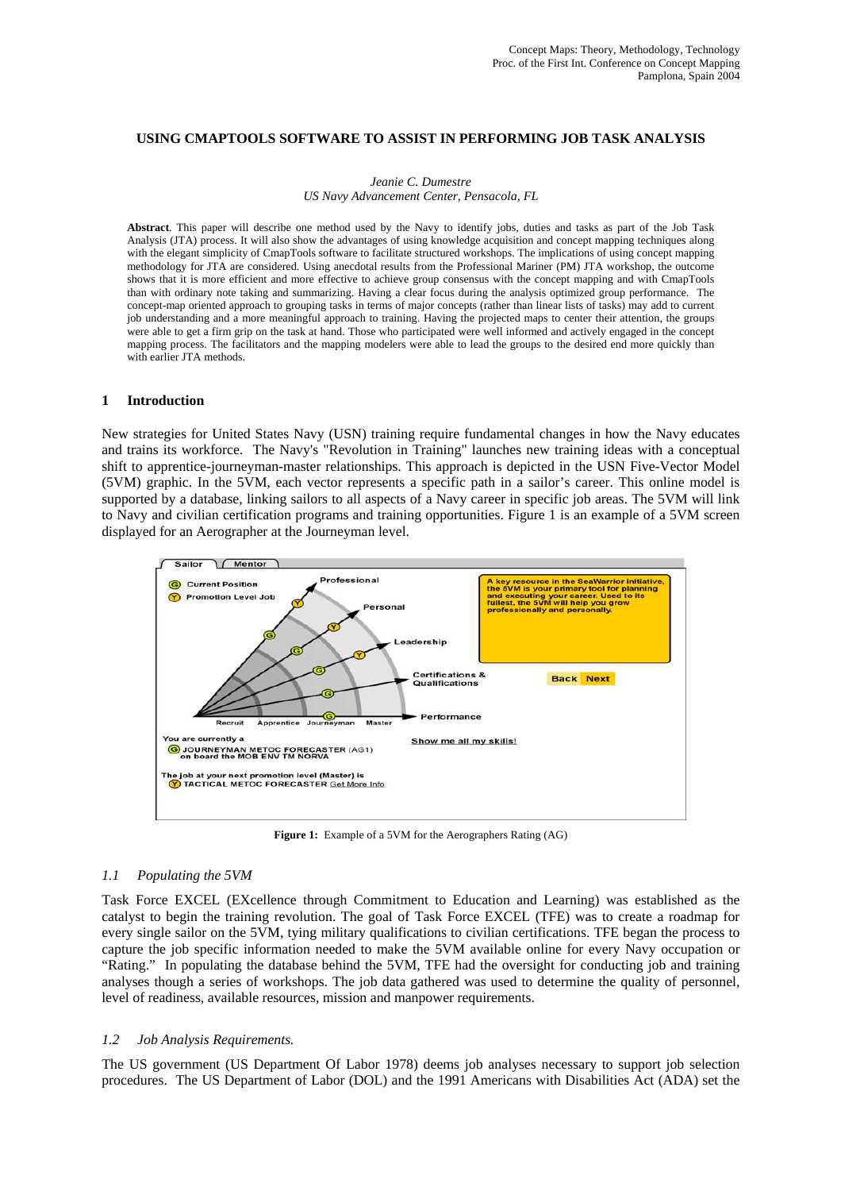## **USING CMAPTOOLS SOFTWARE TO ASSIST IN PERFORMING JOB TASK ANALYSIS**

#### *Jeanie C. Dumestre US Navy Advancement Center, Pensacola, FL*

**Abstract**. This paper will describe one method used by the Navy to identify jobs, duties and tasks as part of the Job Task Analysis (JTA) process. It will also show the advantages of using knowledge acquisition and concept mapping techniques along with the elegant simplicity of CmapTools software to facilitate structured workshops. The implications of using concept mapping methodology for JTA are considered. Using anecdotal results from the Professional Mariner (PM) JTA workshop, the outcome shows that it is more efficient and more effective to achieve group consensus with the concept mapping and with CmapTools than with ordinary note taking and summarizing. Having a clear focus during the analysis optimized group performance. The concept-map oriented approach to grouping tasks in terms of major concepts (rather than linear lists of tasks) may add to current job understanding and a more meaningful approach to training. Having the projected maps to center their attention, the groups were able to get a firm grip on the task at hand. Those who participated were well informed and actively engaged in the concept mapping process. The facilitators and the mapping modelers were able to lead the groups to the desired end more quickly than with earlier JTA methods.

#### **1 Introduction**

New strategies for United States Navy (USN) training require fundamental changes in how the Navy educates and trains its workforce. The Navy's "Revolution in Training" launches new training ideas with a conceptual shift to apprentice-journeyman-master relationships. This approach is depicted in the USN Five-Vector Model (5VM) graphic. In the 5VM, each vector represents a specific path in a sailor's career. This online model is supported by a database, linking sailors to all aspects of a Navy career in specific job areas. The 5VM will link to Navy and civilian certification programs and training opportunities. Figure 1 is an example of a 5VM screen displayed for an Aerographer at the Journeyman level.



**Figure 1:** Example of a 5VM for the Aerographers Rating (AG)

#### *1.1 Populating the 5VM*

Task Force EXCEL (EXcellence through Commitment to Education and Learning) was established as the catalyst to begin the training revolution. The goal of Task Force EXCEL (TFE) was to create a roadmap for every single sailor on the 5VM, tying military qualifications to civilian certifications. TFE began the process to capture the job specific information needed to make the 5VM available online for every Navy occupation or "Rating." In populating the database behind the 5VM, TFE had the oversight for conducting job and training analyses though a series of workshops. The job data gathered was used to determine the quality of personnel, level of readiness, available resources, mission and manpower requirements.

## *1.2 Job Analysis Requirements.*

The US government (US Department Of Labor 1978) deems job analyses necessary to support job selection procedures. The US Department of Labor (DOL) and the 1991 Americans with Disabilities Act (ADA) set the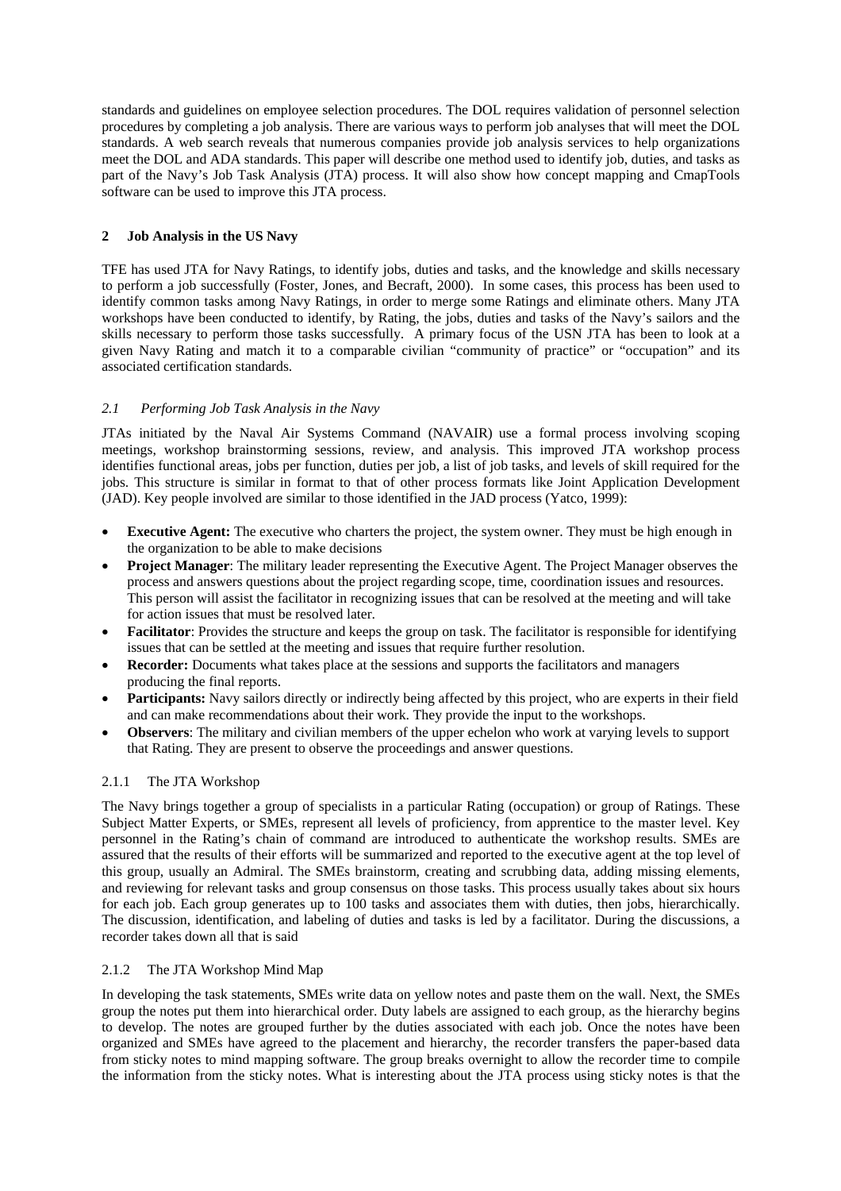standards and guidelines on employee selection procedures. The DOL requires validation of personnel selection procedures by completing a job analysis. There are various ways to perform job analyses that will meet the DOL standards. A web search reveals that numerous companies provide job analysis services to help organizations meet the DOL and ADA standards. This paper will describe one method used to identify job, duties, and tasks as part of the Navy's Job Task Analysis (JTA) process. It will also show how concept mapping and CmapTools software can be used to improve this JTA process.

# **2 Job Analysis in the US Navy**

TFE has used JTA for Navy Ratings, to identify jobs, duties and tasks, and the knowledge and skills necessary to perform a job successfully (Foster, Jones, and Becraft, 2000). In some cases, this process has been used to identify common tasks among Navy Ratings, in order to merge some Ratings and eliminate others. Many JTA workshops have been conducted to identify, by Rating, the jobs, duties and tasks of the Navy's sailors and the skills necessary to perform those tasks successfully. A primary focus of the USN JTA has been to look at a given Navy Rating and match it to a comparable civilian "community of practice" or "occupation" and its associated certification standards.

# *2.1 Performing Job Task Analysis in the Navy*

JTAs initiated by the Naval Air Systems Command (NAVAIR) use a formal process involving scoping meetings, workshop brainstorming sessions, review, and analysis. This improved JTA workshop process identifies functional areas, jobs per function, duties per job, a list of job tasks, and levels of skill required for the jobs. This structure is similar in format to that of other process formats like Joint Application Development (JAD). Key people involved are similar to those identified in the JAD process (Yatco, 1999):

- **Executive Agent:** The executive who charters the project, the system owner. They must be high enough in the organization to be able to make decisions
- **Project Manager**: The military leader representing the Executive Agent. The Project Manager observes the process and answers questions about the project regarding scope, time, coordination issues and resources. This person will assist the facilitator in recognizing issues that can be resolved at the meeting and will take for action issues that must be resolved later.
- **Facilitator**: Provides the structure and keeps the group on task. The facilitator is responsible for identifying issues that can be settled at the meeting and issues that require further resolution.
- **Recorder:** Documents what takes place at the sessions and supports the facilitators and managers producing the final reports.
- **Participants:** Navy sailors directly or indirectly being affected by this project, who are experts in their field and can make recommendations about their work. They provide the input to the workshops.
- **Observers**: The military and civilian members of the upper echelon who work at varying levels to support that Rating. They are present to observe the proceedings and answer questions.

# 2.1.1 The JTA Workshop

The Navy brings together a group of specialists in a particular Rating (occupation) or group of Ratings. These Subject Matter Experts, or SMEs, represent all levels of proficiency, from apprentice to the master level. Key personnel in the Rating's chain of command are introduced to authenticate the workshop results. SMEs are assured that the results of their efforts will be summarized and reported to the executive agent at the top level of this group, usually an Admiral. The SMEs brainstorm, creating and scrubbing data, adding missing elements, and reviewing for relevant tasks and group consensus on those tasks. This process usually takes about six hours for each job. Each group generates up to 100 tasks and associates them with duties, then jobs, hierarchically. The discussion, identification, and labeling of duties and tasks is led by a facilitator. During the discussions, a recorder takes down all that is said

# 2.1.2 The JTA Workshop Mind Map

In developing the task statements, SMEs write data on yellow notes and paste them on the wall. Next, the SMEs group the notes put them into hierarchical order. Duty labels are assigned to each group, as the hierarchy begins to develop. The notes are grouped further by the duties associated with each job. Once the notes have been organized and SMEs have agreed to the placement and hierarchy, the recorder transfers the paper-based data from sticky notes to mind mapping software. The group breaks overnight to allow the recorder time to compile the information from the sticky notes. What is interesting about the JTA process using sticky notes is that the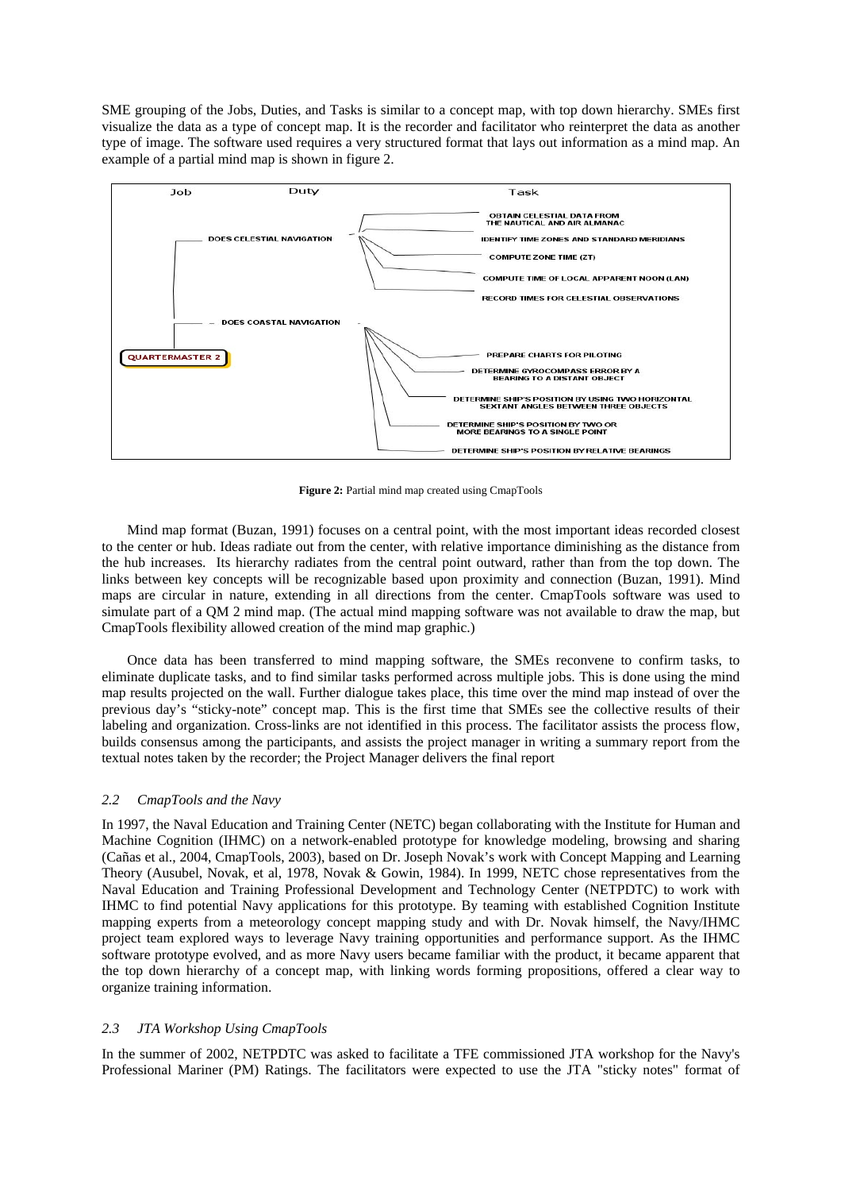SME grouping of the Jobs, Duties, and Tasks is similar to a concept map, with top down hierarchy. SMEs first visualize the data as a type of concept map. It is the recorder and facilitator who reinterpret the data as another type of image. The software used requires a very structured format that lays out information as a mind map. An example of a partial mind map is shown in figure 2.



**Figure 2:** Partial mind map created using CmapTools

Mind map format (Buzan, 1991) focuses on a central point, with the most important ideas recorded closest to the center or hub. Ideas radiate out from the center, with relative importance diminishing as the distance from the hub increases. Its hierarchy radiates from the central point outward, rather than from the top down. The links between key concepts will be recognizable based upon proximity and connection (Buzan, 1991). Mind maps are circular in nature, extending in all directions from the center. CmapTools software was used to simulate part of a QM 2 mind map. (The actual mind mapping software was not available to draw the map, but CmapTools flexibility allowed creation of the mind map graphic.)

Once data has been transferred to mind mapping software, the SMEs reconvene to confirm tasks, to eliminate duplicate tasks, and to find similar tasks performed across multiple jobs. This is done using the mind map results projected on the wall. Further dialogue takes place, this time over the mind map instead of over the previous day's "sticky-note" concept map. This is the first time that SMEs see the collective results of their labeling and organization. Cross-links are not identified in this process. The facilitator assists the process flow, builds consensus among the participants, and assists the project manager in writing a summary report from the textual notes taken by the recorder; the Project Manager delivers the final report

## *2.2 CmapTools and the Navy*

In 1997, the Naval Education and Training Center (NETC) began collaborating with the Institute for Human and Machine Cognition (IHMC) on a network-enabled prototype for knowledge modeling, browsing and sharing (Cañas et al., 2004, CmapTools, 2003), based on Dr. Joseph Novak's work with Concept Mapping and Learning Theory (Ausubel, Novak, et al, 1978, Novak & Gowin, 1984). In 1999, NETC chose representatives from the Naval Education and Training Professional Development and Technology Center (NETPDTC) to work with IHMC to find potential Navy applications for this prototype. By teaming with established Cognition Institute mapping experts from a meteorology concept mapping study and with Dr. Novak himself, the Navy/IHMC project team explored ways to leverage Navy training opportunities and performance support. As the IHMC software prototype evolved, and as more Navy users became familiar with the product, it became apparent that the top down hierarchy of a concept map, with linking words forming propositions, offered a clear way to organize training information.

# *2.3 JTA Workshop Using CmapTools*

In the summer of 2002, NETPDTC was asked to facilitate a TFE commissioned JTA workshop for the Navy's Professional Mariner (PM) Ratings. The facilitators were expected to use the JTA "sticky notes" format of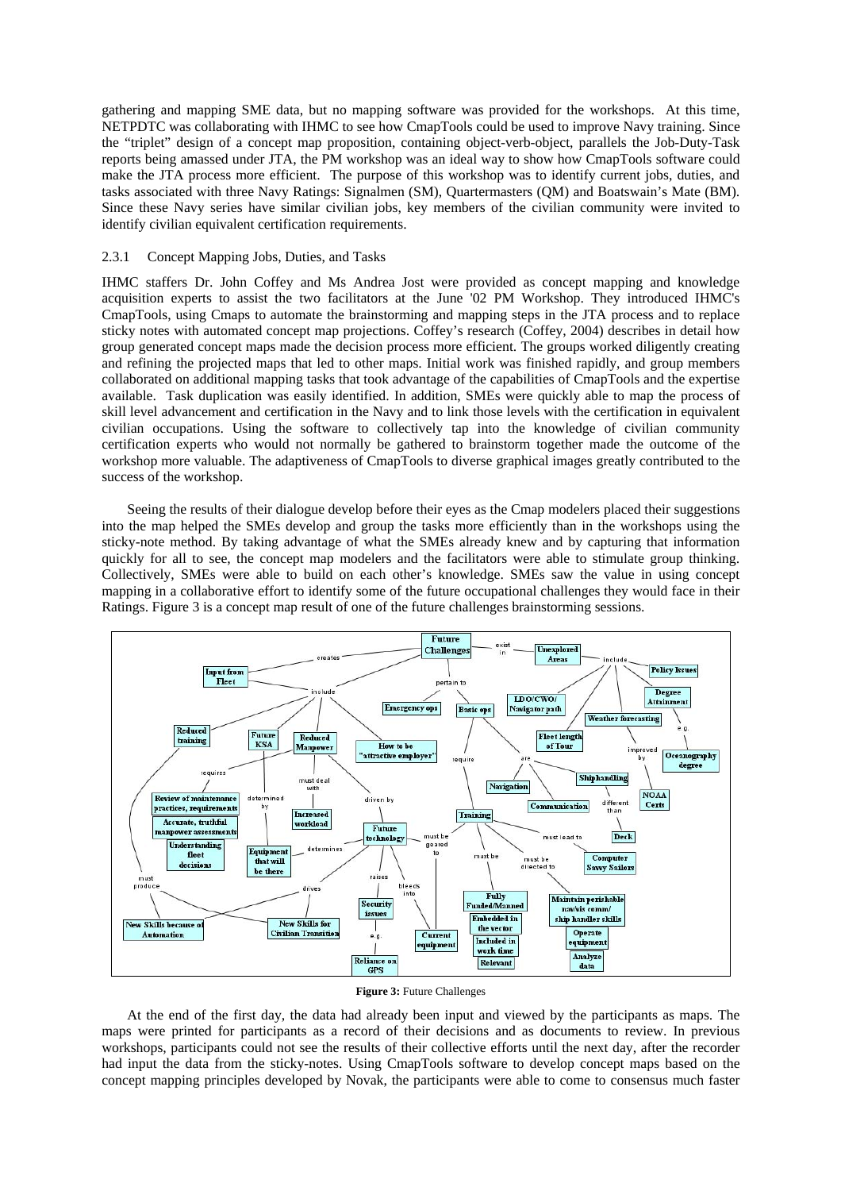gathering and mapping SME data, but no mapping software was provided for the workshops. At this time, NETPDTC was collaborating with IHMC to see how CmapTools could be used to improve Navy training. Since the "triplet" design of a concept map proposition, containing object-verb-object, parallels the Job-Duty-Task reports being amassed under JTA, the PM workshop was an ideal way to show how CmapTools software could make the JTA process more efficient. The purpose of this workshop was to identify current jobs, duties, and tasks associated with three Navy Ratings: Signalmen (SM), Quartermasters (QM) and Boatswain's Mate (BM). Since these Navy series have similar civilian jobs, key members of the civilian community were invited to identify civilian equivalent certification requirements.

## 2.3.1 Concept Mapping Jobs, Duties, and Tasks

IHMC staffers Dr. John Coffey and Ms Andrea Jost were provided as concept mapping and knowledge acquisition experts to assist the two facilitators at the June '02 PM Workshop. They introduced IHMC's CmapTools, using Cmaps to automate the brainstorming and mapping steps in the JTA process and to replace sticky notes with automated concept map projections. Coffey's research (Coffey, 2004) describes in detail how group generated concept maps made the decision process more efficient. The groups worked diligently creating and refining the projected maps that led to other maps. Initial work was finished rapidly, and group members collaborated on additional mapping tasks that took advantage of the capabilities of CmapTools and the expertise available. Task duplication was easily identified. In addition, SMEs were quickly able to map the process of skill level advancement and certification in the Navy and to link those levels with the certification in equivalent civilian occupations. Using the software to collectively tap into the knowledge of civilian community certification experts who would not normally be gathered to brainstorm together made the outcome of the workshop more valuable. The adaptiveness of CmapTools to diverse graphical images greatly contributed to the success of the workshop.

Seeing the results of their dialogue develop before their eyes as the Cmap modelers placed their suggestions into the map helped the SMEs develop and group the tasks more efficiently than in the workshops using the sticky-note method. By taking advantage of what the SMEs already knew and by capturing that information quickly for all to see, the concept map modelers and the facilitators were able to stimulate group thinking. Collectively, SMEs were able to build on each other's knowledge. SMEs saw the value in using concept mapping in a collaborative effort to identify some of the future occupational challenges they would face in their Ratings. Figure 3 is a concept map result of one of the future challenges brainstorming sessions.



#### **Figure 3:** Future Challenges

At the end of the first day, the data had already been input and viewed by the participants as maps. The maps were printed for participants as a record of their decisions and as documents to review. In previous workshops, participants could not see the results of their collective efforts until the next day, after the recorder had input the data from the sticky-notes. Using CmapTools software to develop concept maps based on the concept mapping principles developed by Novak, the participants were able to come to consensus much faster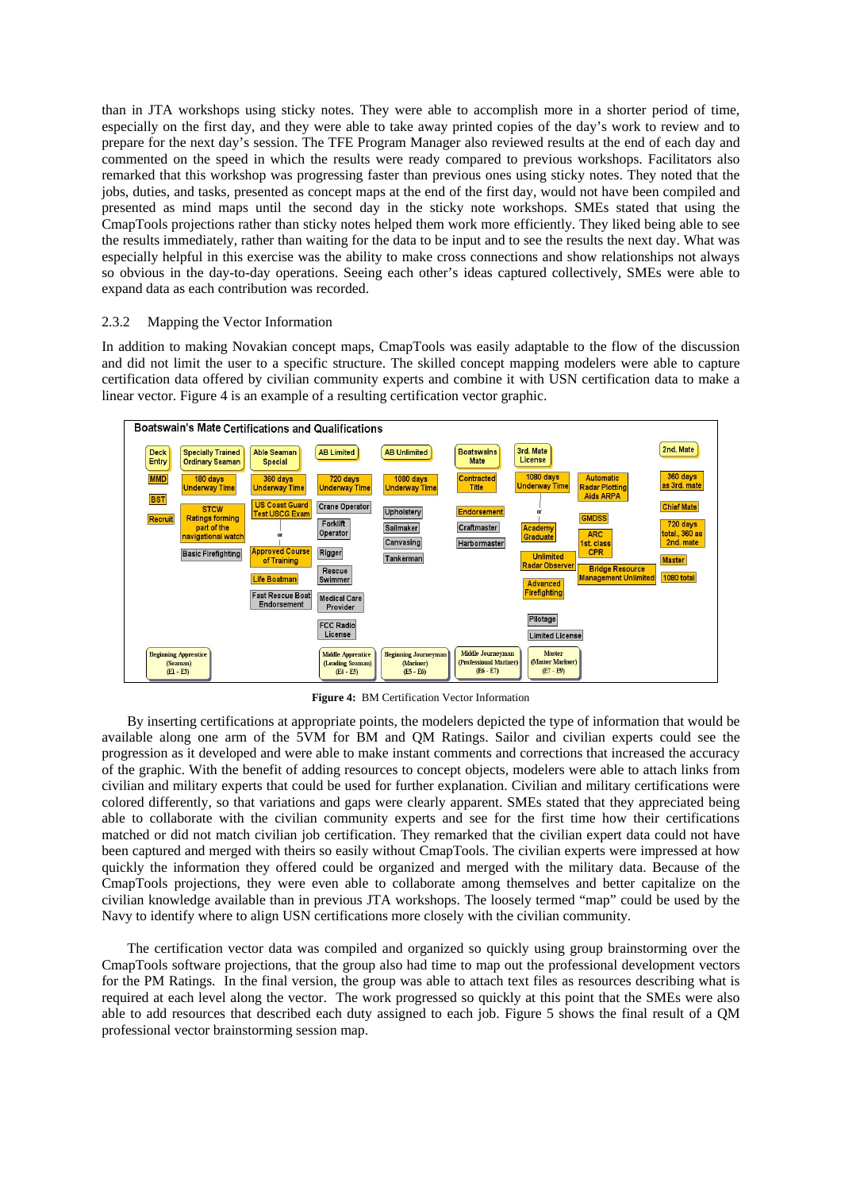than in JTA workshops using sticky notes. They were able to accomplish more in a shorter period of time, especially on the first day, and they were able to take away printed copies of the day's work to review and to prepare for the next day's session. The TFE Program Manager also reviewed results at the end of each day and commented on the speed in which the results were ready compared to previous workshops. Facilitators also remarked that this workshop was progressing faster than previous ones using sticky notes. They noted that the jobs, duties, and tasks, presented as concept maps at the end of the first day, would not have been compiled and presented as mind maps until the second day in the sticky note workshops. SMEs stated that using the CmapTools projections rather than sticky notes helped them work more efficiently. They liked being able to see the results immediately, rather than waiting for the data to be input and to see the results the next day. What was especially helpful in this exercise was the ability to make cross connections and show relationships not always so obvious in the day-to-day operations. Seeing each other's ideas captured collectively, SMEs were able to expand data as each contribution was recorded.

## 2.3.2 Mapping the Vector Information

In addition to making Novakian concept maps, CmapTools was easily adaptable to the flow of the discussion and did not limit the user to a specific structure. The skilled concept mapping modelers were able to capture certification data offered by civilian community experts and combine it with USN certification data to make a linear vector. Figure 4 is an example of a resulting certification vector graphic.



**Figure 4:** BM Certification Vector Information

By inserting certifications at appropriate points, the modelers depicted the type of information that would be available along one arm of the 5VM for BM and QM Ratings. Sailor and civilian experts could see the progression as it developed and were able to make instant comments and corrections that increased the accuracy of the graphic. With the benefit of adding resources to concept objects, modelers were able to attach links from civilian and military experts that could be used for further explanation. Civilian and military certifications were colored differently, so that variations and gaps were clearly apparent. SMEs stated that they appreciated being able to collaborate with the civilian community experts and see for the first time how their certifications matched or did not match civilian job certification. They remarked that the civilian expert data could not have been captured and merged with theirs so easily without CmapTools. The civilian experts were impressed at how quickly the information they offered could be organized and merged with the military data. Because of the CmapTools projections, they were even able to collaborate among themselves and better capitalize on the civilian knowledge available than in previous JTA workshops. The loosely termed "map" could be used by the Navy to identify where to align USN certifications more closely with the civilian community.

The certification vector data was compiled and organized so quickly using group brainstorming over the CmapTools software projections, that the group also had time to map out the professional development vectors for the PM Ratings. In the final version, the group was able to attach text files as resources describing what is required at each level along the vector. The work progressed so quickly at this point that the SMEs were also able to add resources that described each duty assigned to each job. Figure 5 shows the final result of a QM professional vector brainstorming session map.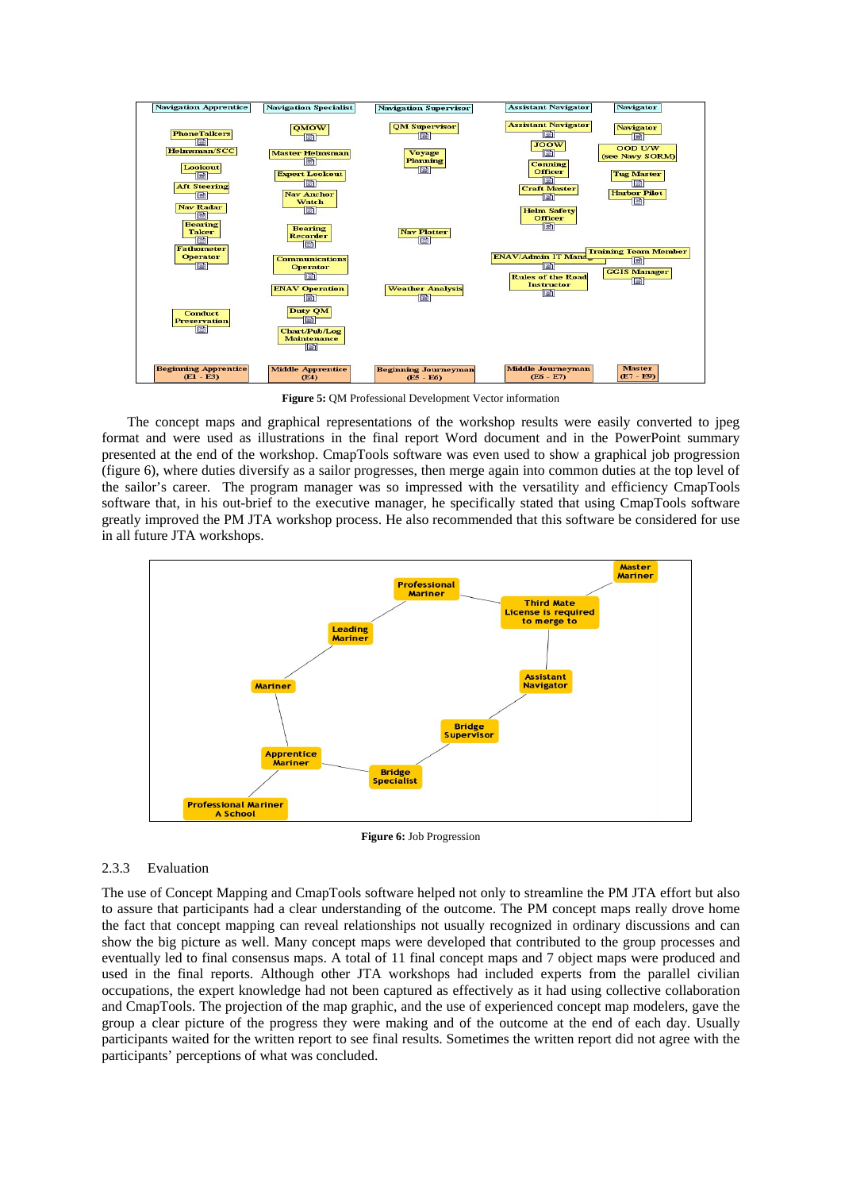

**Figure 5:** QM Professional Development Vector information

The concept maps and graphical representations of the workshop results were easily converted to jpeg format and were used as illustrations in the final report Word document and in the PowerPoint summary presented at the end of the workshop. CmapTools software was even used to show a graphical job progression (figure 6), where duties diversify as a sailor progresses, then merge again into common duties at the top level of the sailor's career. The program manager was so impressed with the versatility and efficiency CmapTools software that, in his out-brief to the executive manager, he specifically stated that using CmapTools software greatly improved the PM JTA workshop process. He also recommended that this software be considered for use in all future JTA workshops.



**Figure 6:** Job Progression

## 2.3.3 Evaluation

The use of Concept Mapping and CmapTools software helped not only to streamline the PM JTA effort but also to assure that participants had a clear understanding of the outcome. The PM concept maps really drove home the fact that concept mapping can reveal relationships not usually recognized in ordinary discussions and can show the big picture as well. Many concept maps were developed that contributed to the group processes and eventually led to final consensus maps. A total of 11 final concept maps and 7 object maps were produced and used in the final reports. Although other JTA workshops had included experts from the parallel civilian occupations, the expert knowledge had not been captured as effectively as it had using collective collaboration and CmapTools. The projection of the map graphic, and the use of experienced concept map modelers, gave the group a clear picture of the progress they were making and of the outcome at the end of each day. Usually participants waited for the written report to see final results. Sometimes the written report did not agree with the participants' perceptions of what was concluded.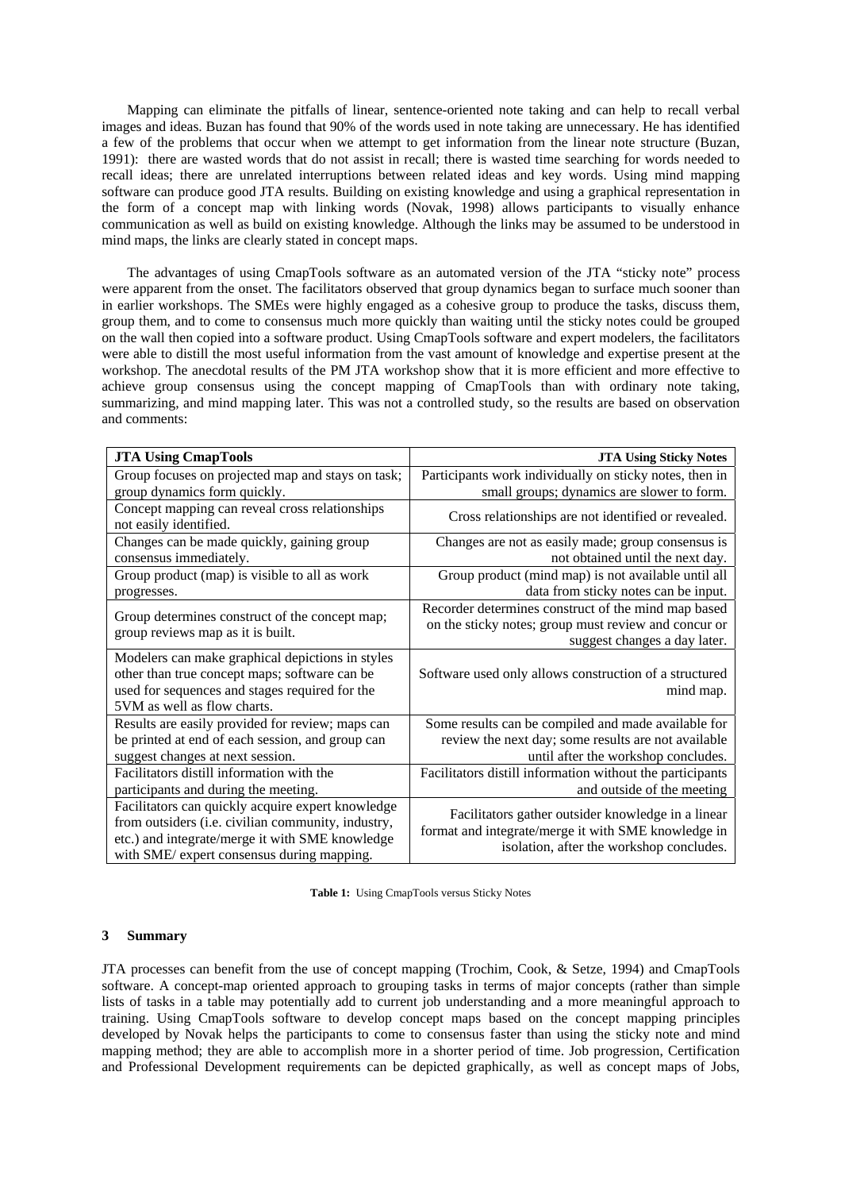Mapping can eliminate the pitfalls of linear, sentence-oriented note taking and can help to recall verbal images and ideas. Buzan has found that 90% of the words used in note taking are unnecessary. He has identified a few of the problems that occur when we attempt to get information from the linear note structure (Buzan, 1991): there are wasted words that do not assist in recall; there is wasted time searching for words needed to recall ideas; there are unrelated interruptions between related ideas and key words. Using mind mapping software can produce good JTA results. Building on existing knowledge and using a graphical representation in the form of a concept map with linking words (Novak, 1998) allows participants to visually enhance communication as well as build on existing knowledge. Although the links may be assumed to be understood in mind maps, the links are clearly stated in concept maps.

The advantages of using CmapTools software as an automated version of the JTA "sticky note" process were apparent from the onset. The facilitators observed that group dynamics began to surface much sooner than in earlier workshops. The SMEs were highly engaged as a cohesive group to produce the tasks, discuss them, group them, and to come to consensus much more quickly than waiting until the sticky notes could be grouped on the wall then copied into a software product. Using CmapTools software and expert modelers, the facilitators were able to distill the most useful information from the vast amount of knowledge and expertise present at the workshop. The anecdotal results of the PM JTA workshop show that it is more efficient and more effective to achieve group consensus using the concept mapping of CmapTools than with ordinary note taking, summarizing, and mind mapping later. This was not a controlled study, so the results are based on observation and comments:

| <b>JTA Using CmapTools</b>                                                                                                                                                                               | <b>JTA Using Sticky Notes</b>                                                                                                                         |
|----------------------------------------------------------------------------------------------------------------------------------------------------------------------------------------------------------|-------------------------------------------------------------------------------------------------------------------------------------------------------|
| Group focuses on projected map and stays on task;                                                                                                                                                        | Participants work individually on sticky notes, then in                                                                                               |
| group dynamics form quickly.                                                                                                                                                                             | small groups; dynamics are slower to form.                                                                                                            |
| Concept mapping can reveal cross relationships<br>not easily identified.                                                                                                                                 | Cross relationships are not identified or revealed.                                                                                                   |
| Changes can be made quickly, gaining group<br>consensus immediately.                                                                                                                                     | Changes are not as easily made; group consensus is<br>not obtained until the next day.                                                                |
| Group product (map) is visible to all as work<br>progresses.                                                                                                                                             | Group product (mind map) is not available until all<br>data from sticky notes can be input.                                                           |
| Group determines construct of the concept map;<br>group reviews map as it is built.                                                                                                                      | Recorder determines construct of the mind map based<br>on the sticky notes; group must review and concur or<br>suggest changes a day later.           |
| Modelers can make graphical depictions in styles<br>other than true concept maps; software can be<br>used for sequences and stages required for the<br>5VM as well as flow charts.                       | Software used only allows construction of a structured<br>mind map.                                                                                   |
| Results are easily provided for review; maps can<br>be printed at end of each session, and group can<br>suggest changes at next session.                                                                 | Some results can be compiled and made available for<br>review the next day; some results are not available<br>until after the workshop concludes.     |
| Facilitators distill information with the<br>participants and during the meeting.                                                                                                                        | Facilitators distill information without the participants<br>and outside of the meeting                                                               |
| Facilitators can quickly acquire expert knowledge<br>from outsiders (i.e. civilian community, industry,<br>etc.) and integrate/merge it with SME knowledge<br>with SME/ expert consensus during mapping. | Facilitators gather outsider knowledge in a linear<br>format and integrate/merge it with SME knowledge in<br>isolation, after the workshop concludes. |

**Table 1:** Using CmapTools versus Sticky Notes

# **3 Summary**

JTA processes can benefit from the use of concept mapping (Trochim, Cook, & Setze, 1994) and CmapTools software. A concept-map oriented approach to grouping tasks in terms of major concepts (rather than simple lists of tasks in a table may potentially add to current job understanding and a more meaningful approach to training. Using CmapTools software to develop concept maps based on the concept mapping principles developed by Novak helps the participants to come to consensus faster than using the sticky note and mind mapping method; they are able to accomplish more in a shorter period of time. Job progression, Certification and Professional Development requirements can be depicted graphically, as well as concept maps of Jobs,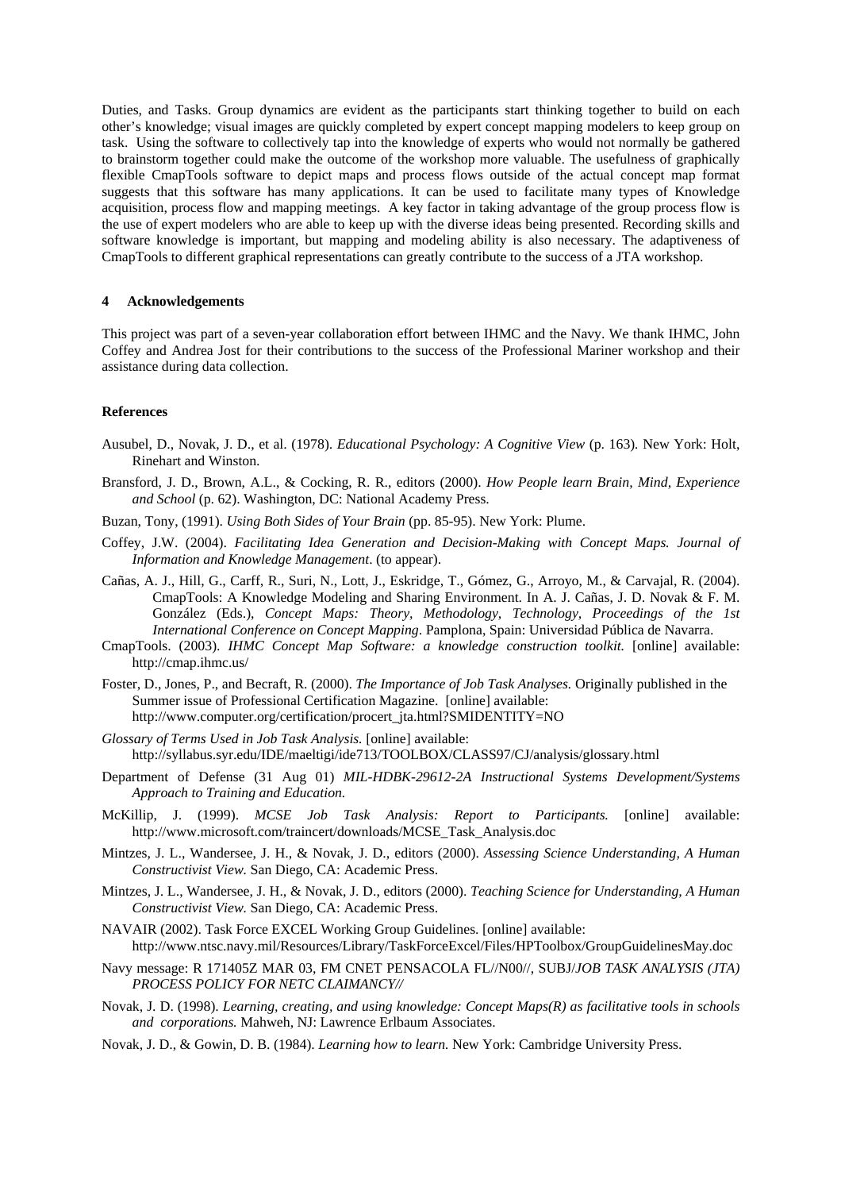Duties, and Tasks. Group dynamics are evident as the participants start thinking together to build on each other's knowledge; visual images are quickly completed by expert concept mapping modelers to keep group on task. Using the software to collectively tap into the knowledge of experts who would not normally be gathered to brainstorm together could make the outcome of the workshop more valuable. The usefulness of graphically flexible CmapTools software to depict maps and process flows outside of the actual concept map format suggests that this software has many applications. It can be used to facilitate many types of Knowledge acquisition, process flow and mapping meetings. A key factor in taking advantage of the group process flow is the use of expert modelers who are able to keep up with the diverse ideas being presented. Recording skills and software knowledge is important, but mapping and modeling ability is also necessary. The adaptiveness of CmapTools to different graphical representations can greatly contribute to the success of a JTA workshop.

#### **4 Acknowledgements**

This project was part of a seven-year collaboration effort between IHMC and the Navy. We thank IHMC, John Coffey and Andrea Jost for their contributions to the success of the Professional Mariner workshop and their assistance during data collection.

## **References**

- Ausubel, D., Novak, J. D., et al. (1978). *Educational Psychology: A Cognitive View* (p. 163)*.* New York: Holt, Rinehart and Winston.
- Bransford, J. D., Brown, A.L., & Cocking, R. R., editors (2000). *How People learn Brain, Mind, Experience and School* (p. 62). Washington, DC: National Academy Press.
- Buzan, Tony, (1991). *Using Both Sides of Your Brain* (pp. 85-95). New York: Plume.
- Coffey, J.W. (2004). *Facilitating Idea Generation and Decision-Making with Concept Maps. Journal of Information and Knowledge Management*. (to appear).
- Cañas, A. J., Hill, G., Carff, R., Suri, N., Lott, J., Eskridge, T., Gómez, G., Arroyo, M., & Carvajal, R. (2004). CmapTools: A Knowledge Modeling and Sharing Environment. In A. J. Cañas, J. D. Novak & F. M. González (Eds.), *Concept Maps: Theory, Methodology, Technology, Proceedings of the 1st International Conference on Concept Mapping*. Pamplona, Spain: Universidad Pública de Navarra.
- CmapTools. (2003). *IHMC Concept Map Software: a knowledge construction toolkit.* [online] available: http://cmap.ihmc.us/
- Foster, D., Jones, P., and Becraft, R. (2000). *The Importance of Job Task Analyses.* Originally published in the Summer issue of Professional Certification Magazine. [online] available: http://www.computer.org/certification/procert\_jta.html?SMIDENTITY=NO
- *Glossary of Terms Used in Job Task Analysis.* [online] available: http://syllabus.syr.edu/IDE/maeltigi/ide713/TOOLBOX/CLASS97/CJ/analysis/glossary.html
- Department of Defense (31 Aug 01) *MIL-HDBK-29612-2A Instructional Systems Development/Systems Approach to Training and Education.*
- McKillip, J. (1999). *MCSE Job Task Analysis: Report to Participants.* [online] available: http://www.microsoft.com/traincert/downloads/MCSE\_Task\_Analysis.doc
- Mintzes, J. L., Wandersee, J. H., & Novak, J. D., editors (2000). *Assessing Science Understanding, A Human Constructivist View.* San Diego, CA: Academic Press.
- Mintzes, J. L., Wandersee, J. H., & Novak, J. D., editors (2000). *Teaching Science for Understanding, A Human Constructivist View.* San Diego, CA: Academic Press.
- NAVAIR (2002). Task Force EXCEL Working Group Guidelines. [online] available: http://www.ntsc.navy.mil/Resources/Library/TaskForceExcel/Files/HPToolbox/GroupGuidelinesMay.doc
- Navy message: R 171405Z MAR 03, FM CNET PENSACOLA FL//N00//, SUBJ/*JOB TASK ANALYSIS (JTA) PROCESS POLICY FOR NETC CLAIMANCY//*
- Novak, J. D. (1998). *Learning, creating, and using knowledge: Concept Maps(R) as facilitative tools in schools and corporations.* Mahweh, NJ: Lawrence Erlbaum Associates.
- Novak, J. D., & Gowin, D. B. (1984). *Learning how to learn.* New York: Cambridge University Press.